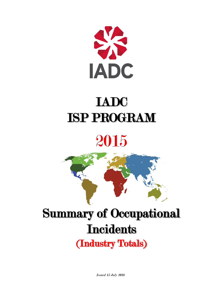

# IADC ISP PROGRAM

# 2015



# Summary of Occupational **Incidents** (Industry Totals)

Issued 15 July 2016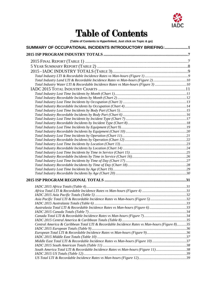

# Table of Contents

**(Table of Contents is Hyperlinked, Just click on Topic & go)**

| SUMMARY OF OCCUPATIONAL INCIDENTS INTRODUCTORY BRIEFING:1                                    |  |
|----------------------------------------------------------------------------------------------|--|
|                                                                                              |  |
|                                                                                              |  |
|                                                                                              |  |
|                                                                                              |  |
|                                                                                              |  |
| Total Industry Land LTI & Recordable Incidence Rates vs Man-hours (Figure 2)10               |  |
| Total Industry Water LTI & Recordable Incidence Rates vs Man-hours (Figure 3) 10             |  |
|                                                                                              |  |
|                                                                                              |  |
|                                                                                              |  |
|                                                                                              |  |
|                                                                                              |  |
|                                                                                              |  |
|                                                                                              |  |
|                                                                                              |  |
|                                                                                              |  |
|                                                                                              |  |
|                                                                                              |  |
|                                                                                              |  |
|                                                                                              |  |
|                                                                                              |  |
|                                                                                              |  |
|                                                                                              |  |
|                                                                                              |  |
|                                                                                              |  |
|                                                                                              |  |
|                                                                                              |  |
|                                                                                              |  |
|                                                                                              |  |
|                                                                                              |  |
|                                                                                              |  |
|                                                                                              |  |
| Asia Pacific Total LTI & Recordable Incidence Rates vs Man-hours (Figure 5) 32               |  |
|                                                                                              |  |
| Australasia Total LTI & Recordable Incidence Rates vs Man-hours (Figure 6)33                 |  |
|                                                                                              |  |
|                                                                                              |  |
| Central America & Caribbean Total LTI & Recordable Incidence Rates vs Man-hours (Figure 8)35 |  |
|                                                                                              |  |
|                                                                                              |  |
|                                                                                              |  |
| Middle East Total LTI & Recordable Incidence Rates vs Man-hours (Figure 10)37                |  |
|                                                                                              |  |
| South America Total LTI & Recordable Incidence Rates vs Man-hours (Figure 11)38              |  |
|                                                                                              |  |
|                                                                                              |  |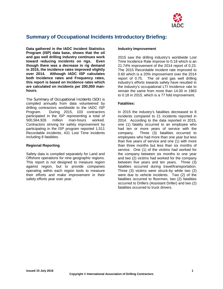

# <span id="page-2-0"></span>**Summary of Occupational Incidents Introductory Briefing:**

**Data gathered in the IADC Incident Statistics Program (ISP) data base, shows that the oil and gas well drilling industry continues work toward reducing incidents on rigs. Even though there was a decrease in rig demand in 2015, the incidence rates improved slightly over 2014. Although IADC ISP calculates both Incidence rates and Frequency rates, this report is based on Incidence rates which are calculated on incidents per 200,000 manhours.** 

The Summary of Occupational Incidents (SOI) is compiled annually from data volunteered by drilling contractors worldwide to the IADC ISP Program. During 2015, 103 contractors participated in the ISP representing a total of 500,564,926 million man-hours worked. Contractors striving for safety improvement by participating in the ISP program reported 1,511 Recordable incidents, 431 Lost Time incidents including 8 fatalities.

#### **Regional Reporting**

Safety data is compiled separately for Land and Offshore operations for nine geographic regions. This report is not designed to measure region against region, but to provide companies operating within each region tools to measure their efforts and make improvement in their safety efforts year over year.

#### **Industry Improvement**

2015 saw the drilling industry's worldwide Lost Time Incidence Rate improve to 0.18 which is an 21.74% improvement of the 2014 report of 0.23. The 2015 Recordable Incident rate improved to 0.60 which is a 20% improvement over the 2014 report of 0.75. The oil and gas well drilling industry's efforts towards safety have resulted in the industry's occupational LTI Incidence rate to remain the same from more than 14.00 in 1963 to 0.18 in 2015, which is a 77 fold improvement.

#### **Fatalities:**

In 2015 the industry's fatalities decreased to 8 incidents compared to 21 incidents reported in 2014. According to the data reported in 2015, one (1) fatality occurred to an employee who had ten or more years of service with the company. Three (3) fatalities occurred to employees who had more than one year but less than five years of service and one (1) with more than three months but less than six months of service. One (1) of the victims had worked for the company between six months to one year and two (2) victims had worked for the company between five years and ten years. Three (3) fatalities occurred during travel/transportation. Three (3) victims were struck-by while two (2) were due to vehicle incidents. Two (2) of the fatalities occurred to floormen, two (2) fatalities occurred to Drillers (Assistant Driller) and two (2) fatalities occurred to truck drivers.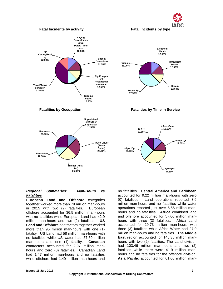

#### **Fatal Incidents by activity Fatal Incidents by type**







#### *Regional Summaries: Man-Hours vs Fatalities*

**European Land and Offshore** categories together worked more than 79 million man-hours in 2015 with two (2) fatalities. European offshore accounted for 36.5 million man-hours with no fatalities while European Land had 42.9 million man-hours and two (2) fatalities. **US Land and Offshore** contractors together worked more than 95 million man-hours with one (1) fatality. US Land had 58 million man-hours with no fatalities while US water had 37.89 million man-hours and one (1) fatality. **Canadian** contractors accounted for 2.97 million manhours and zero (0) fatalities. Canadian Land had 1.47 million man-hours and no fatalities while offshore had 1.49 million man-hours and

no fatalities. **Central America and Caribbean**  accounted for 9.22 million man-hours with zero (0) fatalities. Land operations reported 3.6 million man-hours and no fatalities while water operations reported just over 5.56 million manhours and no fatalities. **Africa** combined land and offshore accounted for 57.66 million manhours with three (3) fatalities. Africa Land accounted for 29.73 million man-hours with three (3) fatalities while Africa Water had 27.9 million man-hours and no fatalities. The **Middle East** region accounted for 145.38 million manhours with two (2) fatalities. The Land division had 103.46 million man-hours and two (2) fatalities while there were 41.9 million manhours and no fatalities for the offshore division. **Asia Pacific** accounted for 61.66 million man-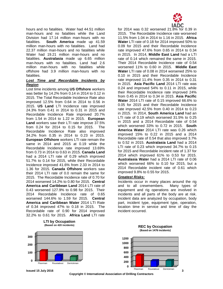hours and no fatalities. Water had 44.51 million man-hours and no fatalities while the Land Division had 17.14 million man-hours with no<br>fatalities. **South America** made up 41.59 **South America** made up 41.59 million man-hours with no fatalities. Land had 22.37 million man-hours and no fatalities while Water had 19.21 million man-hours and no fatalities. **Australasia** made up 6.65 million man-hours with no fatalities. Land had 2.6 million man-hours with no fatalities while offshore had 3.9 million man-hours with no **fatalities** 

#### *Lost Time and Recordable Incidents by Region*

Lost time incidents among **US Offshore** workers was better by 14.2% from 0.14 in 2014 to 0.12 in 2015. The Total Recordable Incidence Rate also improved 12.5% from 0.64 in 2014 to 0.56 in 2015. **US Land** LTI Incidence rate improved 24.3% from 0.41 in 2014 to 0.31 in 2015 and Recordable Incidence Rate improved 20.7% from 1.54 in 2014 to 1.22 in 2015. **European Land** workers saw their LTI rate improve 37.5% from 0.24 for 2014 to 0.15 for 2015. The Recordable Incidence Rate also improved 34.2% from 0.35 in 2014 to 0.23 in 2015. **European Offshore** workers LTI rate remain the same in 2014 and 2015 at 0.19 while the Recordable Incidence rate improved 13.69% from 0.73 in 2014 to 0.63 in 2015. **Canada Land** had a 2014 LTI rate of 0.29 which improved 51.7% to 0.14 for 2015, while their Recordable Incidence improved 41.6% from 2.33 in 2014 to 1.36 for 2015. **Canada Offshore** workers saw their 2014 LTI rate of 0.0 remain the same for 2015. The Recordable Incidence rate of 0.70 for 2014 worsened 14.2% to 0.80 for 2015. **Central America and Caribbean Land** 2014 LTI rate of 0.43 worsened 127.9% to 0.98 for 2015. Their 2014 Recordable Incidence rate of 0.65 worsened 144.6% to 1.59 for 2015. **Central America and Caribbean Water** 2014 LTI Rate of 0.34 improved 47% to 0.18 in 2015. The Recordable rate of 0.90 for 2014 improved 32.2% to 0.61 for 2015. **Africa Land** LTI rate



**LTI by Occupation**



for 2014 was 0.32 worsened 21.8% for 0.39 in 2015. The Recordable Incidence rate worsened 11.5% from 1.04 in 2014 to 1.16 in 2015. **Africa Water** LTI rate of 0.18 for 2014 improved 50% to 0.09 for 2015 and their Recordable Incidence rate improved 47.6% from 0.65 in 2014 to 0.34 in 2015. In 2014, **Middle East Land** had a LTI rate of 0.14 which remained the same in 2015. Their 2014 Recordable Incidence rate of 0.54 worsened 11% to 0.60 in 2015. **Middle East Water** LTI rate of 0.08 in 2014 worsened 25% to 0.10 in 2015 and their Recordable Incidence rate improved 11.4% from 0.35 in 2014 to 0.31 in 2015. **Asia Pacific Land** 2014 LTI rate was 0.24 and improved 54% to 0.11 in 2015, while their Recordable Incidence rate improved 24% from 0.45 in 2014 to 0.34 in 2015. **Asia Pacific Water** 2014 LTI rate of 0.15 improved 66.6% to 0.05 for 2015 and their Recordable Incidence rate improved 42.5% from 0.40 in 2014 to 0.23 in 2015. In 2014, **South America Land** had an LTI rate of 0.19 which worsened 31.5% to 0.25 in 2015 and a 2014 Recordable rate of 0.54 which worsened 33% to 0.72 in 2015. **South America Water** 2014 LTI rate was 0.26 which improved 15% to 0.22 in 2015 and a 2014 Recordable rate of 0.54 that also improved 3.7% to 0.52 in 2015. **Australasia Land** had a 2014 LTI rate of 0.23 which improved 34.7% to 0.15 for 2015 and Recordable incident rate of 1.37 for 2014 which improved 61% to 0.53 for 2015. **Australasia Water** had a 2014 LTI rate of 0.06 which worsened 66% to 0.10 for 2015, but a 2014 Recordable incident rate of 0.61 which improved 9.8% to 0.55 for 2015.

#### *Greatest Risks:*

Incidents occur in many places around the rig and to all crewmembers. Many types of equipment and rig operations are involved in incidents and all parts of the body are at risk. Incident data are analyzed by occupation, body part, incident type, equipment type, operation, location time in service and time of day the incident occurred.



**Copyright © International Association of Drilling Contractors**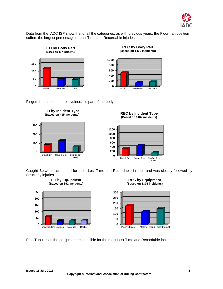

Data from the IADC ISP show that of all the categories, as with previous years, the Floorman position suffers the largest percentage of Lost Time and Recordable injuries.





**REC by Body Part**

Fingers remained the most vulnerable part of the body.





Caught Between accounted for most Lost Time and Recordable injuries and was closely followed by Struck by injuries.



**REC by Equipment (Based on 1375 incidents)**



Pipe/Tubulars is the equipment responsible for the most Lost Time and Recordable incidents.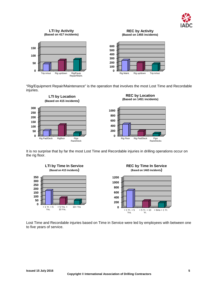

#### **LTI by Activity (Based on 417 incidents)**



**REC by Activity (Based on 1455 incidents)**



"Rig/Equipment Repair/Maintenance" is the operation that involves the most Lost Time and Recordable injuries.



It is no surprise that by far the most Lost Time and Recordable injuries in drilling operations occur on the rig floor.







Lost Time and Recordable injuries based on Time in Service were led by employees with between one to five years of service.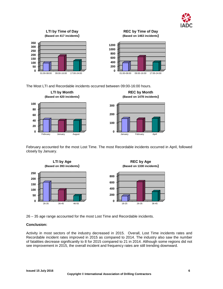



The Most LTI and Recordable incidents occurred between 09:00-16:00 hours.



February accounted for the most Lost Time. The most Recordable incidents occurred in April, followed closely by January.



26 – 35 age range accounted for the most Lost Time and Recordable incidents.

#### **Conclusion:**

Activity in most sectors of the industry decreased in 2015. Overall, Lost Time incidents rates and Recordable incident rates improved in 2015 as compared to 2014. The industry also saw the number of fatalities decrease significantly to 8 for 2015 compared to 21 in 2014. Although some regions did not see improvement in 2015, the overall incident and frequency rates are still trending downward.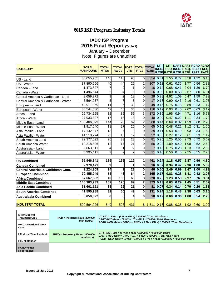

# 2015 ISP Program Industry Totals

### **IADC ISP Program 2015 Final Report (Table 1)** January – December

Note: Figures are unaudited

<span id="page-8-1"></span><span id="page-8-0"></span>

| <b>CATEGORY</b>                     | <b>TOTAL</b><br><b>MANHOURS</b> | <b>TOTAL</b><br><b>MTOs</b> | <b>TOTAL TOTAL TOTAL TOTAL</b><br><b>RWCs</b> | <b>LTIs</b>     |                         | <b>FTLs RCRD</b>                      | LTI.     | LTI. |             |      | DART DART RCRD RCRD<br>INCD.FREQ. INCD.FREQ. INCD.FREQ.<br>RATE RATE RATE RATE RATE RATE |      |
|-------------------------------------|---------------------------------|-----------------------------|-----------------------------------------------|-----------------|-------------------------|---------------------------------------|----------|------|-------------|------|------------------------------------------------------------------------------------------|------|
| US - Land                           | 58,055,785                      | 146                         | 118                                           | 90              | <sub>0</sub>            |                                       | 354 0.31 |      | $1.55$ 0.72 |      | $3.58$ 1.22                                                                              | 6.10 |
| US - Water                          | 37,890,556                      | 40                          | 44                                            | $\overline{22}$ | 1                       | 107                                   | 0.12     | 0.61 | 0.35        | 1.77 | 0.56                                                                                     | 2.82 |
| Canada - Land                       | 1,473,827                       | 7                           | $\overline{a}$                                | 1               | $\Omega$                | 10                                    | 0.14     | 0.68 | 0.41        | 2.04 | 1.36                                                                                     | 6.79 |
| Canada - Water                      | 1,496,644                       | $\overline{2}$              | 4                                             | $\Omega$        | $\Omega$                | 6                                     | 0.00     | 0.00 | 0.53        | 2.67 | 0.80                                                                                     | 4.01 |
| Central America & Caribbean - Land  | 3,659,272                       | 9                           | $\overline{c}$                                | $\overline{18}$ | $\overline{0}$          |                                       | 29 0.98  | 4.92 | 1.09        | 5.47 | 1.59                                                                                     | 7.93 |
| Central America & Caribbean - Water | 5,564,937                       | 5                           | $\overline{7}$                                | 5               | <sub>0</sub>            | 17                                    | 0.18     | 0.90 | 0.43        | 2.16 | 0.61                                                                                     | 3.05 |
| European - Land                     | 42,911,869                      | 11                          | 6                                             | 30              | $\overline{a}$          | 49                                    | 0.15     | 0.75 | 0.18        | 0.89 | 0.23                                                                                     | 1.14 |
| European - Water                    | 36,544,080                      | $\overline{42}$             | 40                                            | $\overline{34}$ | $\Omega$                | 116                                   | 0.19     | 0.93 | 0.40        | 2.02 | 0.63                                                                                     | 3.17 |
| Africa - Land                       | 29,734,165                      | 32                          | 82                                            | 55              | 3                       | 172                                   | 0.39     | 1.95 | 0.94        | 4.71 | 1.16                                                                                     | 5.78 |
| Africa - Water                      | 27,933,397                      | $\overline{17}$             | 18                                            | $\overline{13}$ | $\Omega$                | 48                                    | 0.09     | 0.47 | 0.22        | 1.11 | 0.34                                                                                     | 1.72 |
| Middle East - Land                  | 103,466,893                     | 144                         | 93                                            | 69              | $\overline{a}$          | 308                                   | 0.14     | 0.69 | 0.32        | 1.59 | 0.60                                                                                     | 2.98 |
| Middle East - Water                 | 41,917,040                      | $\overline{18}$             | $\overline{27}$                               | $\overline{20}$ | $\overline{0}$          | 65                                    | 0.10     | 0.48 | 0.22        | 1.12 | 0.31                                                                                     | 1.55 |
| Asia Pacific - Land                 | 17, 142, 377                    | 13                          | 7                                             | 9               | $\overline{0}$          | 29                                    | 0.11     | 0.53 | 0.19        | 0.93 | 0.34                                                                                     | 1.69 |
| Asia Pacific - Water                | 44,518,774                      | $\overline{25}$             | 15                                            | $\overline{12}$ | $\Omega$                | 52                                    | 0.05     | 0.27 | 0.12        | 0.61 | 0.23                                                                                     | 1.17 |
| South America Land                  | 22,377,092                      | 20                          | 33                                            | 28              | $\Omega$                | 81                                    | 0.25     | 1.25 | 0.55        | 2.73 | 0.72                                                                                     | 3.62 |
| South America Water                 | 19,218,896                      | $\overline{12}$             | $\overline{17}$                               | $\overline{21}$ | $\Omega$                | 50                                    | 0.22     | 1.09 | 0.40        | 1.98 | 0.52                                                                                     | 2.60 |
| Australasia - Land                  | 2,663,911                       | 4                           |                                               | $\overline{c}$  | <sub>0</sub>            |                                       | 0.15     | 0.75 | 0.23        | 1.13 | 0.53                                                                                     | 2.63 |
| Australasia - Water                 | 3,995,411                       | $\overline{c}$              | 7                                             | $\overline{2}$  | $\Omega$                | 11                                    | 0.10     | 0.50 | 0.45        | 2.25 | 0.55                                                                                     | 2.75 |
| <b>US Combined</b>                  | 95,946,341                      | 186                         | 162                                           | 112             | $\mathbf{1}$            | 461                                   | 0.24     |      | $1.18$ 0.57 | 2.87 | 0.96                                                                                     | 4.80 |
| <b>Canada Combined</b>              | 2,970,471                       | 9                           | 6                                             |                 | O                       |                                       | 16 0.07  |      | $0.34$ 0.47 | 2.36 | 1.08                                                                                     | 5.39 |
| Central America & Caribbean Com.    | 9,224,209                       | 14                          | 9                                             | 23              | O                       | 46                                    | 0.50     | 2.49 | 0.69        | 3.47 | 1.00                                                                                     | 4.99 |
| <b>European Combined</b>            | 79,455,949                      | 53                          | 46                                            | 64              | $\overline{2}$          | 165                                   | 0.17     | 0.83 | 0.28        | 1.41 | 0.42                                                                                     | 2.08 |
| <b>Africa Combined</b>              | 57,667,562                      | 49                          | 100                                           | 68              | 3                       | 220                                   | 0.25     | 1.23 | 0.59        | 2.97 | 0.76                                                                                     | 3.81 |
| <b>Middle East Combined</b>         | 145,383,933                     | 162                         | 120                                           | 89              | $\overline{\mathbf{c}}$ | 373                                   | 0.13     | 0.63 | 0.29        | 1.45 | 0.51                                                                                     | 2.57 |
| Asia Pacific Combined               | 61,661,151                      | 38                          | $\overline{22}$                               | 21              | $\mathbf{0}$            | 81                                    | 0.07     | 0.34 | 0.14        | 0.70 | 0.26                                                                                     | 1.31 |
| <b>South America Combined</b>       | 41,595,988                      | 32                          | 50                                            | 49              | $\mathbf{0}$            | 131                                   | 0.24     | 1.18 | 0.48        | 2.38 | 0.63                                                                                     | 3.15 |
| Australasia Combined                | 6,659,322                       | 6                           | 8                                             | 4               | $\mathbf{0}$            | 18                                    | 0.12     | 0.60 | 0.36        | 1.80 | 0.54                                                                                     | 2.70 |
| <b>INDUSTRY TOTAL</b>               | 500,564,926                     | 549                         | 523                                           | 431             |                         | 8 1,511 0.18 0.88 0.38 1.92 0.60 3.02 |          |      |             |      |                                                                                          |      |

| MTO=Medical<br><b>Treatment Only</b><br><b>RWC</b> = Restricted Work<br>Case | $INCD = Incidence Rate (200,000)$<br>$man-hours$ : | LTI INCD Rate = $(LTI s + FTLs) * 200000 / Total Man-hours$<br>DART INCD Rate = $(RWC + LTI + FTL) * 200000 / Total Man-hours$<br>RCRD INCD Rate = $(MTOs + RWCs + LTIs + FTLS) * 200000 / Total Man-hours$ |
|------------------------------------------------------------------------------|----------------------------------------------------|-------------------------------------------------------------------------------------------------------------------------------------------------------------------------------------------------------------|
| LTI = Lost Time Incident<br>FTL =Fatalities                                  | $FREQ = Frequency Rate (1,000,000)$<br>man-hours): | LTI FREQ Rate = $(LTI s+FTLs)*1000000 / Total Man-hours$<br>DART FREQ Rate = $(RWC + LTI + FTL) * 1000000 / Total Man-hours$<br>RCRD FREQ Rate = $(MTOs + RWCs + LTls + FTLS)*1000000 / Total Man-hours$    |
| $RCRD = Total$<br><b>Recordables</b>                                         |                                                    |                                                                                                                                                                                                             |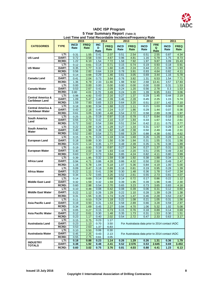

#### **IADC ISP Program 5 Year Summary Report (Table 2) Lost Time and Total Recordable Incidence/Frequency Rate**

<span id="page-9-0"></span>

|                              |              |             | 2015        |            | 2014        |             | 2013        | 2012                                            |            | 2011        |             |
|------------------------------|--------------|-------------|-------------|------------|-------------|-------------|-------------|-------------------------------------------------|------------|-------------|-------------|
|                              |              | <b>INCD</b> | <b>FREQ</b> | <b>INC</b> |             |             |             |                                                 | <b>FRE</b> |             |             |
| <b>CATEGORIES</b>            | <b>TYPE</b>  | Rate        | Rate        | D          | <b>FREQ</b> | <b>INCD</b> | <b>FREQ</b> | <b>INCD</b>                                     | Q          | <b>INCD</b> | <b>FREQ</b> |
|                              |              |             |             | Rate       | Rate        | Rate        | Rate        | Rate                                            | Rate       | Rate        | Rate        |
|                              |              |             |             |            |             |             |             |                                                 |            |             |             |
|                              | LTI:         | 0.31        | 1.55        | 0.41       | 2.07        | 0.51        | 2.54        | 0.51                                            | 2.55       | 0.87        | 4.34        |
| <b>US Land</b>               | DART:        | 0.72        | 3.58        | 0.93       | 4.67        | 0.96        | 4.81        | 1.16                                            | 5.79       | 1.75        | 8.73        |
|                              | <b>RCRD:</b> | 1.22        | 6.10        | 1.54       | 7.72        | 1.58        | 7.92        | 1.97                                            | 9.87       | 3.09        | 15.43       |
|                              | LTI:         | 0.12        | 0.61        | 0.14       | 0.71        | 0.15        | 0.74        | 0.19                                            | 0.93       | 0.18        | 0.91        |
| <b>US Water</b>              | DART:        | 0.35        | 1.77        | 0.32       | 1.60        | 0.45        | 2.24        | 0.44                                            | 2.21       | 0.39        | 1.93        |
|                              | <b>RCRD:</b> | 0.56        | 2.82        | 0.64       | 3.19        | 0.78        | 3.91        | 0.93                                            | 4.64       | 0.82        | 4.11        |
|                              | LTI:         | 0.14        | 0.68        | 0.29       | 1.46        | 0.61        | 3.05        | 0.69                                            | 3.44       | 1.16        | 5.78        |
| Canada Land                  | DART:        | 0.41        | 2.04        | 0.73       | 3.64        | 0.76        | 3.82        | 1.31                                            | 6.53       | 1.54        | 7.71        |
|                              | <b>RCRD:</b> | 1.36        | 6.79        | 2.33       | 11.66       | 1.98        | 9.92        | 2.68                                            | 13.41      | 3.57        | 17.83       |
|                              | LTI:         | 0.00        | 0.00        | 0.00       | 0.00        | 0.00        | 0.00        | 0.00                                            | 0.00       | 0.31        | 1.53        |
| <b>Canada Water</b>          | DART:        | 0.53        | 2.67        | 0.42       | 2.09        | 0.24        | 1.20        | 0.56                                            | 2.78       | 0.3         | 1.53        |
|                              | <b>RCRD:</b> | 0.80        | 4.01        | 0.70       | 3.49        | 0.24        | 1.20        | 1.39                                            | 6.95       | 0.61        | 3.06        |
|                              |              |             |             |            |             |             |             |                                                 |            |             |             |
| <b>Central America &amp;</b> | LTI:         | 0.98        | 4.92        | 0.43       | 2.16        | 0.27        | 1.37        | 0.29                                            | 1.45       | 0.44        | 2.19        |
| <b>Caribbean Land</b>        | DART:        | 1.09        | 5.47        | 0.48       | 2.39        | 0.46        | 2.28        | 0.45                                            | 2.25       | 1.15        | 5.74        |
|                              | <b>RCRD:</b> | 1.59        | 7.93        | 0.65       | 3.23        | 0.64        | 3.20        | 0.51                                            | 2.57       | 1.42        | 7.10        |
|                              | LTI:         | 0.18        | 0.90        | 0.34       | 1.68        | 0.22        | 1.11        | 0.21                                            | 1.03       | 0.00        | 0.00        |
| <b>Central America &amp;</b> | DART:        | 0.43        | 2.16        | 0.45       | 2.24        | 0.37        | 1.86        | 0.29                                            | 1.44       | 0.07        | 0.36        |
| <b>Caribbean Water</b>       | <b>RCRD:</b> | 0.61        | 3.05        | 0.90       | 4.48        | 0.54        | 2.72        | 0.58                                            | 2.89       | 0.39        | 1.97        |
|                              | LTI:         | 0.25        | 1.25        | 0.19       | 0.97        | 0.16        | 0.79        | 0.17                                            | 0.84       | 0.18        | 0.52        |
| South America                | DART:        | 0.55        | 2.73        | 0.42       | 2.10        | 0.37        | 1.84        | 0.33                                            | 1.67       | 0.52        | 2.61        |
| Land                         | <b>RCRD:</b> | 0.72        | 3.62        | 0.54       | 2.69        | 0.51        | 2.54        | 0.42                                            | 2.11       | 0.75        | 3.77        |
|                              | LTI:         | 0.22        | 1.09        | 0.26       | 1.28        | 0.27        | 1.33        | 0.31                                            | 1.57       | 0.29        | 1.47        |
| <b>South America</b>         | DART:        |             |             | 0.38       | 1.92        | 0.48        | 2.38        |                                                 |            |             | 2.31        |
| Water                        |              | 0.40        | 1.98        |            | 2.71        |             |             | 0.50                                            | 2.49       | 0.46        |             |
|                              | <b>RCRD:</b> | 0.52        | 2.60        | 0.54       |             | 0.66        | 3.29        | 0.88                                            | 4.38       | 0.92        | 4.62        |
|                              | LTI:         | 0.15        | 0.75        | 0.24       | 1.18        | 0.34        | 1.69        | 0.26                                            | 1.29       | 0.28        | 1.41        |
| <b>European Land</b>         | DART:        | 0.18        | 0.89        | 0.30       | 1.50        | 0.39        | 1.94        | 0.31                                            | 1.55       | 0.31        | 1.56        |
|                              | <b>RCRD:</b> | 0.23        | 1.14        | 0.35       | 1.77        | 0.48        | 2.39        | 0.35                                            | 1.76       | 0.38        | 1.89        |
|                              | LTI:         | 0.19        | 0.93        | 0.19       | 0.97        | 0.27        | 1.34        | 0.27                                            | 1.37       | 0.31        | 1.55        |
| <b>European Water</b>        | DART:        | 0.40        | 2.02        | 0.39       | 1.93        | 0.44        | 2.20        | 0.51                                            | 2.55       | 0.49        | 2.44        |
|                              | <b>RCRD:</b> | 0.63        | 3.17        | 0.73       | 3.64        | 0.85        | 4.24        | 0.82                                            | 4.11       | 0.80        | 3.99        |
|                              | LTI:         | 0.39        | 1.95        | 0.32       | 1.59        | 0.38        | 1.92        | 0.38                                            | 1.88       | 0.34        | 1.72        |
| <b>Africa Land</b>           | DART:        | 0.94        | 4.71        | 0.86       | 4.28        | 0.86        | 4.32        | 0.50                                            | 2.50       | 0.49        | 2.47        |
|                              | <b>RCRD:</b> | 1.16        | 5.78        | 1.04       | 5.18        | 1.07        | 5.36        | 0.84                                            | 4.19       | 1.00        | 5.00        |
|                              | LTI:         | 0.09        | 0.47        | 0.18       | 0.89        | 0.16        | 0.81        | 0.19                                            | 0.95       | 0.28        | 1.39        |
| Africa Water                 | DART:        | 0.22        | 1.11        | 0.41       | 2.06        | 0.30        | 1.48        | 0.36                                            | 1.78       | 0.47        | 2.34        |
|                              |              |             |             |            |             |             |             |                                                 |            |             |             |
|                              | <b>RCRD:</b> | 0.34        | 1.72        | 0.65       | 3.26        | 0.52        | 2.61        | 0.55                                            | 2.73       | 0.81        | 4.07        |
|                              | LTI:         | 0.14        | 0.69        | 0.14       | 0.68        | 0.14        | 0.72        | 0.17                                            | 0.86       | 0.22        | 1.12        |
| <b>Middle East Land</b>      | DART:        | 0.32        | 1.59        | 0.32       | 1.59        | 0.39        | 1.95        | 0.39                                            | 1.96       | 0.46        | 2.30        |
|                              | <b>RCRD:</b> | 0.60        | 2.98        | 0.54       | 2.70        | 0.65        | 3.23        | 0.73                                            | 3.65       | 0.83        | 4.16        |
|                              | LTI:         | 0.10        | 0.48        | 0.08       | 0.42        | 0.08        | 0.39        | 0.06                                            | 0.31       | 0.12        | 0.60        |
| <b>Middle East Water</b>     | DART:        | 0.22        | 1.12        | 0.26       | 1.29        | 0.22        | 1.10        | 0.28                                            | 1.39       | 0.28        | 1.38        |
|                              | <b>RCRD:</b> | 0.31        | 1.55        | 0.35       | 1.74        | 0.29        | 1.47        | 0.46                                            | 2.28       | 0.53        | 2.67        |
|                              | LTI:         | 0.11        | 0.53        | 0.24       | 1.18        | 0.22        | 1.08        | 0.21                                            | 1.05       | 0.31        | 1.56        |
| Asia Pacific Land            | DART:        | 0.19        | 0.93        | 0.31       | 1.53        | 0.58        | 2.89        | 0.66                                            | 3.28       | 0.59        | 2.97        |
|                              | <b>RCRD:</b> | 0.34        | 1.69        | 0.45       | 2.27        | 0.94        | 4.70        |                                                 | 5.32       |             | 5.08        |
|                              |              |             |             |            |             |             |             | 1.06                                            |            | 1.02        |             |
|                              | LTI:         | 0.05        | 0.27        | 0.15       | 0.73        | 0.15        | 0.76        | 0.18                                            | 0.89       | 0.14        | 0.69        |
| <b>Asia Pacific Water</b>    | DART:        | 0.12        | 0.61        | 0.30       | 1.48        | 0.35        | 1.73        | 0.31                                            | 1.53       | 0.30        | $1.51$      |
|                              | <b>RCRD:</b> | 0.23        | 1.17        | 0.40       | 2.02        | 0.54        | 2.72        | 0.47                                            | 2.33       | 0.63        | 3.17        |
|                              | LTI:         | 0.15        | 0.75        | 0.23       | 1.17        |             |             |                                                 |            |             |             |
| Australasia Land             | DART:        | 0.23        | 1.13        | 0.70       | 3.50        |             |             | For Australasia data prior to 2014 contact IADC |            |             |             |
|                              | <b>RCRD:</b> | 0.53        | 2.63        | 1.37       | 6.83        |             |             |                                                 |            |             |             |
|                              | LTI:         | 0.10        | 0.50        | 0.06       | 0.30        |             |             |                                                 |            |             |             |
| Australasia Water            | DART:        | 0.45        | 2.25        | 0.43       | 2.13        |             |             | For Australasia data prior to 2014 contact IADC |            |             |             |
|                              | RCRD:        | 0.55        | 2.75        | 0.61       | 3.05        |             |             |                                                 |            |             |             |
|                              | LTI:         | 0.18        | 0.88        | 0.23       | 1.14        | 0.26        | 1.29        | 0.26                                            | 1.31       | 0.36        | 1.79        |
| <b>INDUSTRY</b>              | DART:        | 0.38        | 1.92        | 0.48       | 2.41        | 0.52        | 2.576       | 0.53                                            | 2.645      | 0.69        | 3.453       |
| <b>TOTALS</b>                | <b>RCRD:</b> | 0.60        | 3.02        | 0.75       | 3.76        | 0.81        | 4.03        | 0.88                                            | 4.41       | 1.23        | 6.13        |
|                              |              |             |             |            |             |             |             |                                                 |            |             |             |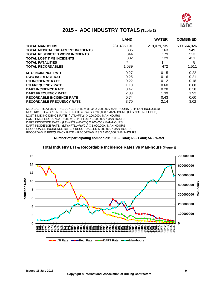

# **2015 - IADC INDUSTRY TOTALS (Table 3)**

<span id="page-10-0"></span>

|                                          | <b>LAND</b> | <b>WATER</b> | <b>COMBINED</b> |
|------------------------------------------|-------------|--------------|-----------------|
| <b>TOTAL MANHOURS</b>                    | 281,485,191 | 219,079,735  | 500,564,926     |
| <b>TOTAL MEDICAL TREATMENT INCIDENTS</b> | 386         | 163          | 549             |
| <b>TOTAL RESTRICTED WORK INCIDENTS</b>   | 344         | 179          | 523             |
| <b>TOTAL LOST TIME INCIDENTS</b>         | 302         | 129          | 431             |
| <b>TOTAL FATALITIES</b>                  | 7           | 1            | 8               |
| <b>TOTAL RECORDABLES</b>                 | 1,039       | 472          | 1,511           |
| <b>MTO INCIDENCE RATE</b>                | 0.27        | 0.15         | 0.22            |
| <b>RWC INCIDENCE RATE</b>                | 0.25        | 0.16         | 0.21            |
| <b>LTI INCIDENCE RATE</b>                | 0.22        | 0.12         | 0.18            |
| <b>LTI FREQUENCY RATE</b>                | 1.10        | 0.60         | 0.88            |
| <b>DART INCIDENCE RATE</b>               | 0.47        | 0.28         | 0.38            |
| <b>DART FREQUENCY RATE</b>               | 2.33        | 1.39         | 1.92            |
| <b>RECORDABLE INCIDENCE RATE</b>         | 0.74        | 0.43         | 0.60            |
| <b>RECORDABLE FREQUENCY RATE</b>         | 3.70        | 2.14         | 3.02            |

MEDICAL TREATMENT INCIDENCE RATE = MTOs X 200,000 / MAN-HOURS (LTIs NOT INCLUDED) RESTRICTED WORK INCIDENCE RATE = RWCs X 200,000 / MAN-HOURS (LTIs NOT INCLUDED) LOST TIME INCIDENCE RATE -( LTIs+FTLs) X 200,000 / MAN-HOURS LOST TIME FREQUENCY RATE =( LTIs+FTLs) X 1,000,000 / MAN-HOURS DART INCIDENCE RATE - (LTIs+FTLs+RWCs) X 200,000 / MAN-HOURS DART INCIDENCE RATE - (LTIs+FTLs+RWCs) X 1,000,000 / MAN-HOURS RECORDABLE INCIDENCE RATE = RECORDABLES X 200,000 / MAN-HOURS RECORDABLE FREQUENCY RATE = RECORDABLES X 1,000,000 / MAN-HOURS

**Number of participating companies: 103 – Total; 65 – Land; 54 – Water**

<span id="page-10-1"></span>

#### **Total Industry LTI & Recordable Incidence Rates vs Man-hours (Figure 1)**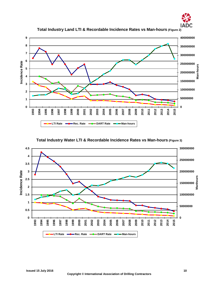

<span id="page-11-0"></span>

**Total Industry Land LTI & Recordable Incidence Rates vs Man-hours (Figure 2)**

#### <span id="page-11-1"></span>**Total Industry Water LTI & Recordable Incidence Rates vs Man-hours (Figure 3)**

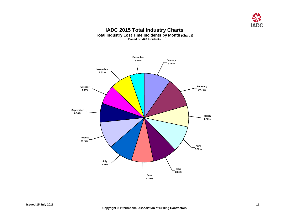

#### **IADC 2015 Total Industry Charts Total Industry Lost Time Incidents by Month (Chart 1) Based on 420 Incidents**

<span id="page-12-1"></span><span id="page-12-0"></span>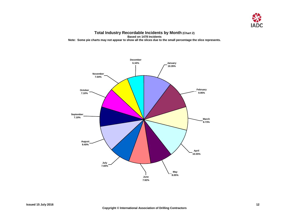

**Total Industry Recordable Incidents by Month (Chart 2) Based on 1478 Incidents Note: Some pie charts may not appear to show all the slices due to the small percentage the slice represents.** 

<span id="page-13-0"></span>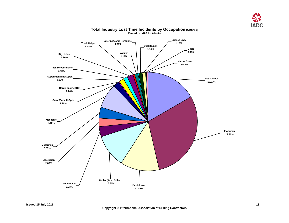

<span id="page-14-0"></span>

#### **Total Industry Lost Time Incidents by Occupation (Chart 3) Based on 420 Incidents**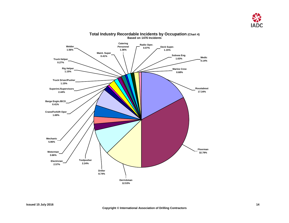

<span id="page-15-0"></span>

#### **Total Industry Recordable Incidents by Occupation (Chart 4) Based on 1476 Incidents**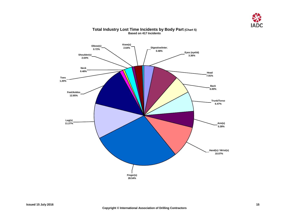

<span id="page-16-0"></span>

#### **Total Industry Lost Time Incidents by Body Part (Chart 5) Based on 417 Incidents**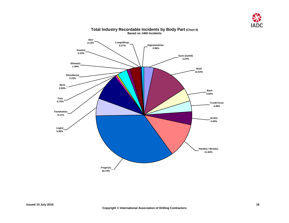

<span id="page-17-0"></span>

#### **Total Industry Recordable Incidents by Body Part (Chart 6) Based on 1460 Incidents**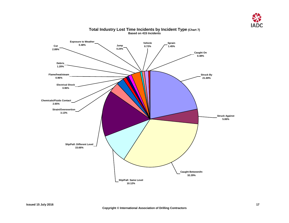

<span id="page-18-0"></span>

#### **Total Industry Lost Time Incidents by Incident Type (Chart 7) Based on 415 Incidents**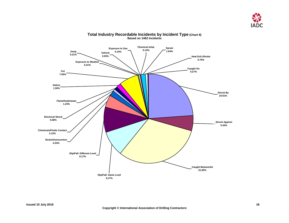

<span id="page-19-0"></span>

#### **Total Industry Recordable Incidents by Incident Type (Chart 8) Based on 1462 Incidents**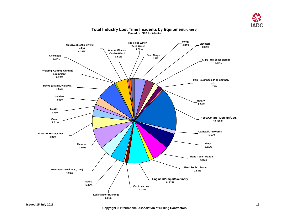

<span id="page-20-0"></span>

#### **Total Industry Lost Time Incidents by Equipment (Chart 9) Based on 392 Incidents**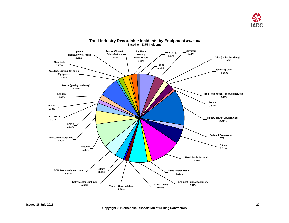

<span id="page-21-0"></span>

**Total Industry Recordable Incidents by Equipment (Chart 10) Based on 1375 Incidents**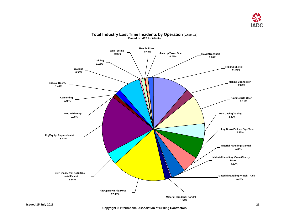

<span id="page-22-0"></span>

#### **Total Industry Lost Time Incidents by Operation (Chart 11) Based on 417 Incidents**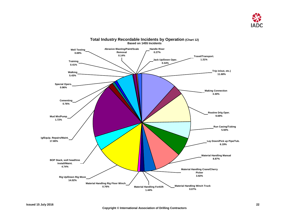

<span id="page-23-0"></span>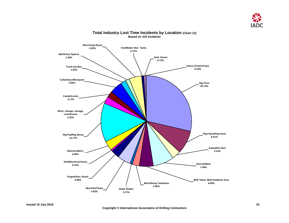

<span id="page-24-0"></span>

#### **Total Industry Lost Time Incidents by Location (Chart 13) Based on 415 Incidents**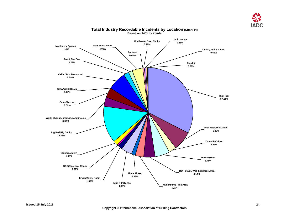

<span id="page-25-0"></span>

#### **Total Industry Recordable Incidents by Location (Chart 14) Based on 1451 Incidents**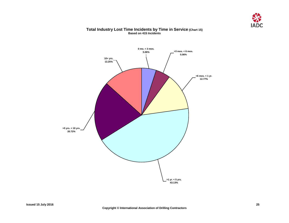

#### **Total Industry Lost Time Incidents by Time in Service (Chart 15) Based on 415 Incidents**

<span id="page-26-0"></span>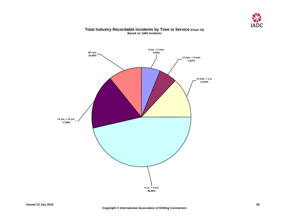

#### **Total Industry Recordable Incidents by Time in Service (Chart 16) Based on 1465 Incidents**

<span id="page-27-0"></span>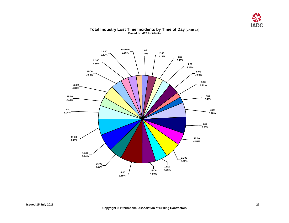

#### <span id="page-28-0"></span>2:00<br>3.12% **3.12% 3:00 2.40% 4:00 3.12% 24:00:00 2.16% 1:00 2.16% 23:00 3.12% 22:00 2.88% 21:00 3.84% 20:00 4.80% 19:00 3.12% 18:00 5.04% 17:00 6.00% 16:00 6.24% 15:00 4.80% 14:00 8.15% 13:00 4.80% 12:00 4.56% 11:00 5.76% 5:00 3.84% 6:00 1.92% 7:00 2.40% 8:00 5.28% 9:00 6.00% 10:00 4.56%**

#### **Total Industry Lost Time Incidents by Time of Day (Chart 17) Based on 417 Incidents**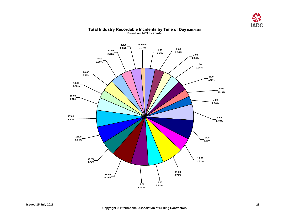

<span id="page-29-0"></span>

#### **Total Industry Recordable Incidents by Time of Day (Chart 18) Based on 1463 Incidents**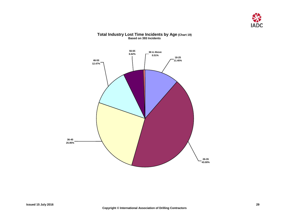

<span id="page-30-0"></span>

#### **Total Industry Lost Time Incidents by Age (Chart 19) Based on 393 Incidents**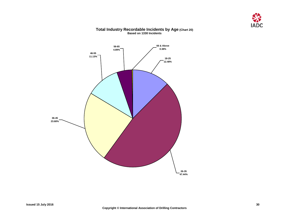

# <span id="page-31-0"></span>**18-25 12.48% 26-35 47.44% 36-45 23.68% 46-55 11.13% 56-65 4.89% 66 & Above 0.38%**

#### **Total Industry Recordable Incidents by Age (Chart 20) Based on 1330 Incidents**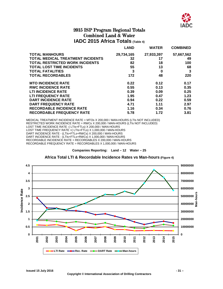

### 2015 ISP Program Regional Totals Combined Land & Water **IADC 2015 Africa Totals (Table 4)**

<span id="page-32-1"></span><span id="page-32-0"></span>

|                                          | <b>LAND</b> | <b>WATER</b> | <b>COMBINED</b> |
|------------------------------------------|-------------|--------------|-----------------|
| <b>TOTAL MANHOURS</b>                    | 29,734,165  | 27,933,397   | 57,667,562      |
| <b>TOTAL MEDICAL TREATMENT INCIDENTS</b> | 32          | 17           | 49              |
| <b>TOTAL RESTRICTED WORK INCIDENTS</b>   | 82          | 18           | 100             |
| <b>TOTAL LOST TIME INCIDENTS</b>         | 55          | 13           | 68              |
| <b>TOTAL FATALITIES</b>                  | 3           | 0            | 3               |
| <b>TOTAL RECORDABLES</b>                 | 172         | 48           | 220             |
| <b>MTO INCIDENCE RATE</b>                | 0.22        | 0.12         | 0.17            |
| <b>RWC INCIDENCE RATE</b>                | 0.55        | 0.13         | 0.35            |
| <b>LTI INCIDENCE RATE</b>                | 0.39        | 0.09         | 0.25            |
| LTI FREQUENCY RATE                       | 1.95        | 0.47         | 1.23            |
| <b>DART INCIDENCE RATE</b>               | 0.94        | 0.22         | 0.59            |
| <b>DART FREQUENCY RATE</b>               | 4.71        | 1.11         | 2.97            |
| <b>RECORDABLE INCIDENCE RATE</b>         | 1.16        | 0.34         | 0.76            |
| <b>RECORDABLE FREQUENCY RATE</b>         | 5.78        | 1.72         | 3.81            |

MEDICAL TREATMENT INCIDENCE RATE = MTOs X 200,000 / MAN-HOURS (LTIs NOT INCLUDED) RESTRICTED WORK INCIDENCE RATE = RWCs X 200,000 / MAN-HOURS (LTIs NOT INCLUDED) LOST TIME INCIDENCE RATE -( LTIs+FTLs) X 200,000 / MAN-HOURS LOST TIME FREQUENCY RATE = (LTIs+FTLS) X 1,000,000 / MAN-HOURS DART INCIDENCE RATE - (LTIs+FTLs+RWCs) X 200,000 / MAN-HOURS DART INCIDENCE RATE - (LTIs+FTLs+RWCs) X 1,000,000 / MAN-HOURS RECORDABLE INCIDENCE RATE = RECORDABLES X 200,000 / MAN-HOURS RECORDABLE FREQUENCY RATE = RECORDABLES X 1,000,000 / MAN-HOURS

**Companies Reporting: Land – 12 Water – 25**

#### **Africa Total LTI & Recordable Incidence Rates vs Man-hours (Figure 4)**

<span id="page-32-2"></span>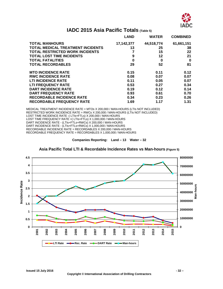

# **IADC 2015 Asia Pacific Totals (Table 5)**

<span id="page-33-0"></span>

|                                          | <b>LAND</b> | <b>WATER</b> | <b>COMBINED</b> |
|------------------------------------------|-------------|--------------|-----------------|
| <b>TOTAL MANHOURS</b>                    | 17,142,377  | 44,518,774   | 61,661,151      |
| <b>TOTAL MEDICAL TREATMENT INCIDENTS</b> | 13          | 25           | 38              |
| <b>TOTAL RESTRICTED WORK INCIDENTS</b>   |             | 15           | 22              |
| <b>TOTAL LOST TIME INCIDENTS</b>         | 9           | 12           | 21              |
| <b>TOTAL FATALITIES</b>                  | 0           | 0            | 0               |
| <b>TOTAL RECORDABLES</b>                 | 29          | 52           | 81              |
| <b>MTO INCIDENCE RATE</b>                | 0.15        | 0.11         | 0.12            |
| <b>RWC INCIDENCE RATE</b>                | 0.08        | 0.07         | 0.07            |
| <b>LTI INCIDENCE RATE</b>                | 0.11        | 0.05         | 0.07            |
| <b>LTI FREQUENCY RATE</b>                | 0.53        | 0.27         | 0.34            |
| <b>DART INCIDENCE RATE</b>               | 0.19        | 0.12         | 0.14            |
| <b>DART FREQUENCY RATE</b>               | 0.93        | 0.61         | 0.70            |
| <b>RECORDABLE INCIDENCE RATE</b>         | 0.34        | 0.23         | 0.26            |
| <b>RECORDABLE FREQUENCY RATE</b>         | 1.69        | 1.17         | 1.31            |

MEDICAL TREATMENT INCIDENCE RATE = MTOs X 200,000 / MAN-HOURS (LTIs NOT INCLUDED) RESTRICTED WORK INCIDENCE RATE = RWCs X 200,000 / MAN-HOURS (LTIS NOT INCLUDED) LOST TIME INCIDENCE RATE -( LTIs+FTLs) X 200,000 / MAN-HOURS LOST TIME FREQUENCY RATE = (LTIs+FTLs) X 1,000,000 / MAN-HOURS DART INCIDENCE RATE - (LTIs+FTLs+RWCs) X 200,000 / MAN-HOURS DART INCIDENCE RATE - (LTIs+FTLs+RWCs) X 1,000,000 / MAN-HOURS RECORDABLE INCIDENCE RATE = RECORDABLES X 200,000 / MAN-HOURS RECORDABLE FREQUENCY RATE = RECORDABLES X 1,000,000 / MAN-HOURS

**Companies Reporting: Land – 13 Water – 32**

<span id="page-33-1"></span>

**Asia Pacific Total LTI & Recordable Incidence Rates vs Man-hours (Figure 5)**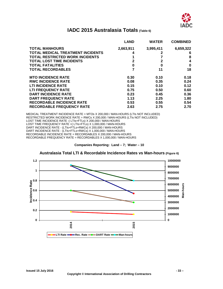

## **IADC 2015 Australasia Totals (Table 6)**

<span id="page-34-0"></span>

|                                          | <b>LAND</b>  | <b>WATER</b> | <b>COMBINED</b> |
|------------------------------------------|--------------|--------------|-----------------|
| <b>TOTAL MANHOURS</b>                    | 2,663,911    | 3,995,411    | 6,659,322       |
| <b>TOTAL MEDICAL TREATMENT INCIDENTS</b> | 4            |              | 6               |
| <b>TOTAL RESTRICTED WORK INCIDENTS</b>   |              |              | 8               |
| <b>TOTAL LOST TIME INCIDENTS</b>         | $\mathbf{2}$ | $\mathbf{2}$ | 4               |
| <b>TOTAL FATALITIES</b>                  | 0            | 0            | 0               |
| <b>TOTAL RECORDABLES</b>                 | 7            | 11           | 18              |
| <b>MTO INCIDENCE RATE</b>                | 0.30         | 0.10         | 0.18            |
| <b>RWC INCIDENCE RATE</b>                | 0.08         | 0.35         | 0.24            |
| <b>LTI INCIDENCE RATE</b>                | 0.15         | 0.10         | 0.12            |
| <b>LTI FREQUENCY RATE</b>                | 0.75         | 0.50         | 0.60            |
| <b>DART INCIDENCE RATE</b>               | 0.23         | 0.45         | 0.36            |
| <b>DART FREQUENCY RATE</b>               | 1.13         | 2.25         | 1.80            |
| <b>RECORDABLE INCIDENCE RATE</b>         | 0.53         | 0.55         | 0.54            |
| <b>RECORDABLE FREQUENCY RATE</b>         | 2.63         | 2.75         | 2.70            |

MEDICAL TREATMENT INCIDENCE RATE = MTOs X 200,000 / MAN-HOURS (LTIs NOT INCLUDED) RESTRICTED WORK INCIDENCE RATE = RWCs X 200,000 / MAN-HOURS (LTIs NOT INCLUDED) LOST TIME INCIDENCE RATE -( LTIs+FTLs) X 200,000 / MAN-HOURS LOST TIME FREQUENCY RATE = (LTIs+FTLs) X 1,000,000 / MAN-HOURS DART INCIDENCE RATE - (LTIs+FTLs+RWCs) X 200,000 / MAN-HOURS DART INCIDENCE RATE - (LTIs+FTLs+RWCs) X 1,000,000 / MAN-HOURS RECORDABLE INCIDENCE RATE = RECORDABLES X 200,000 / MAN-HOURS RECORDABLE FREQUENCY RATE = RECORDABLES X 1,000,000 / MAN-HOURS

**Companies Reporting: Land – 7; Water – 10**

<span id="page-34-1"></span>

**Australasia Total LTI & Recordable Incidence Rates vs Man-hours (Figure 6)**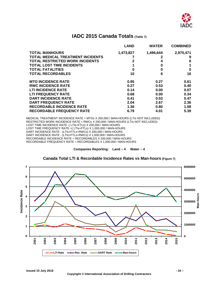

## **IADC 2015 Canada Totals (Table 7)**

<span id="page-35-0"></span>

|                                          | <b>LAND</b> | <b>WATER</b> | <b>COMBINED</b> |
|------------------------------------------|-------------|--------------|-----------------|
| <b>TOTAL MANHOURS</b>                    | 1,473,827   | 1,496,644    | 2,970,471       |
| <b>TOTAL MEDICAL TREATMENT INCIDENTS</b> |             | 2            | 9               |
| <b>TOTAL RESTRICTED WORK INCIDENTS</b>   | 2           | 4            | 6               |
| <b>TOTAL LOST TIME INCIDENTS</b>         |             | 0            | 1               |
| <b>TOTAL FATALITIES</b>                  | 0           | 0            | 0               |
| <b>TOTAL RECORDABLES</b>                 | 10          | 6            | 16              |
| <b>MTO INCIDENCE RATE</b>                | 0.95        | 0.27         | 0.61            |
| <b>RWC INCIDENCE RATE</b>                | 0.27        | 0.53         | 0.40            |
| <b>LTI INCIDENCE RATE</b>                | 0.14        | 0.00         | 0.07            |
| <b>LTI FREQUENCY RATE</b>                | 0.68        | 0.00         | 0.34            |
| <b>DART INCIDENCE RATE</b>               | 0.41        | 0.53         | 0.47            |
| <b>DART FREQUENCY RATE</b>               | 2.04        | 2.67         | 2.36            |
| <b>RECORDABLE INCIDENCE RATE</b>         | 1.36        | 0.80         | 1.08            |
| <b>RECORDABLE FREQUENCY RATE</b>         | 6.79        | 4.01         | 5.39            |

MEDICAL TREATMENT INCIDENCE RATE = MTOs X 200,000 / MAN-HOURS (LTIs NOT INCLUDED) RESTRICTED WORK INCIDENCE RATE = RWCs X 200,000 / MAN-HOURS (LTIs NOT INCLUDED) LOST TIME INCIDENCE RATE -( LTIs+FTLs) X 200,000 / MAN-HOURS LOST TIME FREQUENCY RATE = (LTIs+FTLS) X 1,000,000 / MAN-HOURS DART INCIDENCE RATE - (LTIs+FTLs+RWCs) X 200,000 / MAN-HOURS DART INCIDENCE RATE - (LTIs+FTLs+RWCs) X 1,000,000 / MAN-HOURS RECORDABLE INCIDENCE RATE = RECORDABLES X 200,000 / MAN-HOURS RECORDABLE FREQUENCY RATE = RECORDABLES X 1,000,000 / MAN-HOURS

**Companies Reporting: Land – 4 Water – 4**

<span id="page-35-1"></span>

#### **Canada Total LTI & Recordable Incidence Rates vs Man-hours (Figure 7)**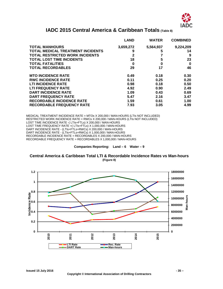

# **IADC 2015 Central America & Caribbean Totals (Table 8)**

<span id="page-36-0"></span>

|                                          | <b>LAND</b>  | WATER     | <b>COMBINED</b> |
|------------------------------------------|--------------|-----------|-----------------|
| <b>TOTAL MANHOURS</b>                    | 3,659,272    | 5,564,937 | 9,224,209       |
| <b>TOTAL MEDICAL TREATMENT INCIDENTS</b> | 9            | 5         | 14              |
| <b>TOTAL RESTRICTED WORK INCIDENTS</b>   | $\mathbf{2}$ |           | 9               |
| <b>TOTAL LOST TIME INCIDENTS</b>         | 18           | 5         | 23              |
| <b>TOTAL FATALITIES</b>                  | 0            | 0         | 0               |
| <b>TOTAL RECORDABLES</b>                 | 29           | 17        | 46              |
| <b>MTO INCIDENCE RATE</b>                | 0.49         | 0.18      | 0.30            |
| <b>RWC INCIDENCE RATE</b>                | 0.11         | 0.25      | 0.20            |
| <b>LTI INCIDENCE RATE</b>                | 0.98         | 0.18      | 0.50            |
| <b>LTI FREQUENCY RATE</b>                | 4.92         | 0.90      | 2.49            |
| <b>DART INCIDENCE RATE</b>               | 1.09         | 0.43      | 0.69            |
| <b>DART FREQUENCY RATE</b>               | 5.47         | 2.16      | 3.47            |
| <b>RECORDABLE INCIDENCE RATE</b>         | 1.59         | 0.61      | 1.00            |
| <b>RECORDABLE FREQUENCY RATE</b>         | 7.93         | 3.05      | 4.99            |

MEDICAL TREATMENT INCIDENCE RATE = MTOs X 200,000 / MAN-HOURS (LTIs NOT INCLUDED) RESTRICTED WORK INCIDENCE RATE = RWCs X 200,000 / MAN-HOURS (LTIs NOT INCLUDED) LOST TIME INCIDENCE RATE -( LTIs+FTLs) X 200,000 / MAN-HOURS LOST TIME FREQUENCY RATE =( LTIs+FTLs) X 1,000,000 / MAN-HOURS DART INCIDENCE RATE - (LTIs+FTLs+RWCs) X 200,000 / MAN-HOURS DART INCIDENCE RATE - (LTIs+FTLs+RWCs) X 1,000,000 / MAN-HOURS RECORDABLE INCIDENCE RATE = RECORDABLES X 200,000 / MAN-HOURS RECORDABLE FREQUENCY RATE = RECORDABLES X 1,000,000 / MAN-HOURS

#### **Companies Reporting: Land – 6 Water – 9**

<span id="page-36-1"></span>**Central America & Caribbean Total LTI & Recordable Incidence Rates vs Man-hours (Figure 8)**

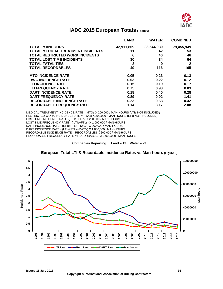

# **IADC 2015 European Totals (Table 9)**

<span id="page-37-0"></span>

|                                          | <b>LAND</b>  | <b>WATER</b> | <b>COMBINED</b> |
|------------------------------------------|--------------|--------------|-----------------|
| <b>TOTAL MANHOURS</b>                    | 42,911,869   | 36,544,080   | 79,455,949      |
| <b>TOTAL MEDICAL TREATMENT INCIDENTS</b> | 11           | 42           | 53              |
| <b>TOTAL RESTRICTED WORK INCIDENTS</b>   | 6            | 40           | 46              |
| <b>TOTAL LOST TIME INCIDENTS</b>         | 30           | 34           | 64              |
| <b>TOTAL FATALITIES</b>                  | $\mathbf{2}$ | 0            | $\mathbf 2$     |
| <b>TOTAL RECORDABLES</b>                 | 49           | 116          | 165             |
| <b>MTO INCIDENCE RATE</b>                | 0.05         | 0.23         | 0.13            |
| <b>RWC INCIDENCE RATE</b>                | 0.03         | 0.22         | 0.12            |
| <b>LTI INCIDENCE RATE</b>                | 0.15         | 0.19         | 0.17            |
| <b>LTI FREQUENCY RATE</b>                | 0.75         | 0.93         | 0.83            |
| <b>DART INCIDENCE RATE</b>               | 0.18         | 0.40         | 0.28            |
| <b>DART FREQUENCY RATE</b>               | 0.89         | 0.02         | 1.41            |
| <b>RECORDABLE INCIDENCE RATE</b>         | 0.23         | 0.63         | 0.42            |
| <b>RECORDABLE FREQUENCY RATE</b>         | 1.14         | 3.17         | 2.08            |

MEDICAL TREATMENT INCIDENCE RATE = MTOs X 200,000 / MAN-HOURS (LTIs NOT INCLUDED) RESTRICTED WORK INCIDENCE RATE = RWCs X 200,000 / MAN-HOURS (LTIs NOT INCLUDED) LOST TIME INCIDENCE RATE -( LTIs+FTLs) X 200,000 / MAN-HOURS LOST TIME FREQUENCY RATE = (LTIs+FTLs) X 1,000,000 / MAN-HOURS DART INCIDENCE RATE - (LTIs+FTLs+RWCs) X 200,000 / MAN-HOURS DART INCIDENCE RATE - (LTIs+FTLs+RWCs) X 1,000,000 / MAN-HOURS RECORDABLE INCIDENCE RATE = RECORDABLES X 200,000 / MAN-HOURS RECORDABLE FREQUENCY RATE = RECORDABLES X 1,000,000 / MAN-HOURS

**Companies Reporting: Land – 13 Water – 23**

<span id="page-37-1"></span>

#### **European Total LTI & Recordable Incidence Rates vs Man-hours (Figure 9)**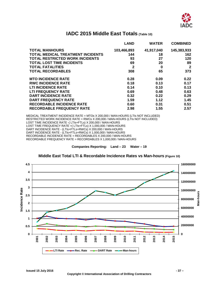

# **IADC 2015 Middle East Totals (Table 10)**

<span id="page-38-0"></span>

|                                          | <b>LAND</b>  | <b>WATER</b> | <b>COMBINED</b> |
|------------------------------------------|--------------|--------------|-----------------|
| <b>TOTAL MANHOURS</b>                    | 103,466,893  | 41,917,040   | 145,383,933     |
| <b>TOTAL MEDICAL TREATMENT INCIDENTS</b> | 144          | 18           | 162             |
| <b>TOTAL RESTRICTED WORK INCIDENTS</b>   | 93           | 27           | 120             |
| <b>TOTAL LOST TIME INCIDENTS</b>         | 69           | 20           | 89              |
| <b>TOTAL FATALITIES</b>                  | $\mathbf{2}$ | 0            | $\mathbf{2}$    |
| <b>TOTAL RECORDABLES</b>                 | 308          | 65           | 373             |
| <b>MTO INCIDENCE RATE</b>                | 0.28         | 0.09         | 0.22            |
| <b>RWC INCIDENCE RATE</b>                | 0.18         | 0.13         | 0.17            |
| <b>LTI INCIDENCE RATE</b>                | 0.14         | 0.10         | 0.13            |
| <b>LTI FREQUENCY RATE</b>                | 0.69         | 0.48         | 0.63            |
| <b>DART INCIDENCE RATE</b>               | 0.32         | 0.22         | 0.29            |
| <b>DART FREQUENCY RATE</b>               | 1.59         | 1.12         | 1.45            |
| <b>RECORDABLE INCIDENCE RATE</b>         | 0.60         | 0.31         | 0.51            |
| <b>RECORDABLE FREQUENCY RATE</b>         | 2.98         | 1.55         | 2.57            |

MEDICAL TREATMENT INCIDENCE RATE = MTOs X 200,000 / MAN-HOURS (LTIs NOT INCLUDED) RESTRICTED WORK INCIDENCE RATE = RWCs X 200,000 / MAN-HOURS (LTIs NOT INCLUDED) LOST TIME INCIDENCE RATE -( LTIs+FTLs) X 200,000 / MAN-HOURS LOST TIME FREQUENCY RATE = (LTIs+FTLS) X 1,000,000 / MAN-HOURS DART INCIDENCE RATE - (LTIs+FTLs+RWCs) X 200,000 / MAN-HOURS DART INCIDENCE RATE - (LTIs+FTLs+RWCs) X 1,000,000 / MAN-HOURS RECORDABLE INCIDENCE RATE = RECORDABLES X 200,000 / MAN-HOURS RECORDABLE FREQUENCY RATE = RECORDABLES X 1,000,000 / MAN-HOURS

#### **Middle East Total LTI & Recordable Incidence Rates vs Man-hours (Figure 10)**

<span id="page-38-1"></span>

**Companies Reporting: Land – 23 Water – 19**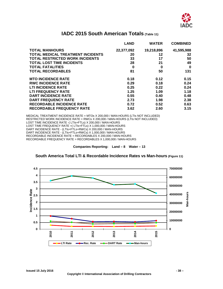

# <span id="page-39-0"></span>**IADC 2015 South American Totals (Table 11)**

|                                          | <b>LAND</b> | <b>WATER</b> | <b>COMBINED</b> |
|------------------------------------------|-------------|--------------|-----------------|
| <b>TOTAL MANHOURS</b>                    | 22,377,092  | 19,218,896   | 41,595,988      |
| <b>TOTAL MEDICAL TREATMENT INCIDENTS</b> | 20          | 12           | 32              |
| <b>TOTAL RESTRICTED WORK INCIDENTS</b>   | 33          | 17           | 50              |
| <b>TOTAL LOST TIME INCIDENTS</b>         | 28          | 21           | 49              |
| <b>TOTAL FATALITIES</b>                  | 0           | 0            | 0               |
| <b>TOTAL RECORDABLES</b>                 | 81          | 50           | 131             |
| <b>MTO INCIDENCE RATE</b>                | 0.18        | 0.12         | 0.15            |
| <b>RWC INCIDENCE RATE</b>                | 0.29        | 0.18         | 0.24            |
| <b>LTI INCIDENCE RATE</b>                | 0.25        | 0.22         | 0.24            |
| <b>LTI FREQUENCY RATE</b>                | 1.25        | 1.09         | 1.18            |
| <b>DART INCIDENCE RATE</b>               | 0.55        | 0.40         | 0.48            |
| <b>DART FREQUENCY RATE</b>               | 2.73        | 1.98         | 2.38            |
| <b>RECORDABLE INCIDENCE RATE</b>         | 0.72        | 0.52         | 0.63            |
| <b>RECORDABLE FREQUENCY RATE</b>         | 3.62        | 2.60         | 3.15            |

MEDICAL TREATMENT INCIDENCE RATE = MTOs X 200,000 / MAN-HOURS (LTIs NOT INCLUDED) RESTRICTED WORK INCIDENCE RATE = RWCs X 200,000 / MAN-HOURS (LTIs NOT INCLUDED) LOST TIME INCIDENCE RATE -( LTIs+FTLs) X 200,000 / MAN-HOURS LOST TIME FREQUENCY RATE =( LTIs+FTLs) X 1,000,000 / MAN-HOURS DART INCIDENCE RATE - (LTIs+FTLs+RWCs) X 200,000 / MAN-HOURS DART INCIDENCE RATE - (LTIs+FTLs+RWCs) X 1,000,000 / MAN-HOURS RECORDABLE INCIDENCE RATE = RECORDABLES X 200,000 / MAN-HOURS RECORDABLE FREQUENCY RATE = RECORDABLES X 1,000,000 / MAN-HOURS

**Companies Reporting: Land – 8 Water – 13**

#### **South America Total LTI & Recordable Incidence Rates vs Man-hours (Figure 11)**

<span id="page-39-1"></span>